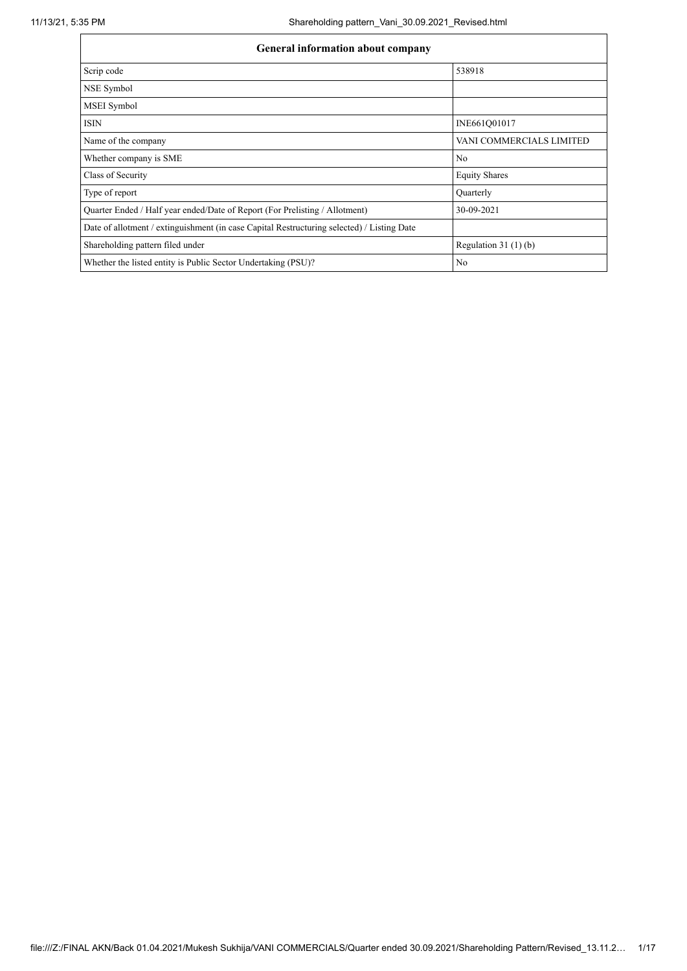| <b>General information about company</b>                                                   |                          |  |  |  |  |  |  |  |  |
|--------------------------------------------------------------------------------------------|--------------------------|--|--|--|--|--|--|--|--|
| Scrip code                                                                                 | 538918                   |  |  |  |  |  |  |  |  |
| NSE Symbol                                                                                 |                          |  |  |  |  |  |  |  |  |
| MSEI Symbol                                                                                |                          |  |  |  |  |  |  |  |  |
| <b>ISIN</b>                                                                                | INE661Q01017             |  |  |  |  |  |  |  |  |
| Name of the company                                                                        | VANI COMMERCIALS LIMITED |  |  |  |  |  |  |  |  |
| Whether company is SME                                                                     | No                       |  |  |  |  |  |  |  |  |
| Class of Security                                                                          | <b>Equity Shares</b>     |  |  |  |  |  |  |  |  |
| Type of report                                                                             | Quarterly                |  |  |  |  |  |  |  |  |
| Quarter Ended / Half year ended/Date of Report (For Prelisting / Allotment)                | 30-09-2021               |  |  |  |  |  |  |  |  |
| Date of allotment / extinguishment (in case Capital Restructuring selected) / Listing Date |                          |  |  |  |  |  |  |  |  |
| Shareholding pattern filed under                                                           | Regulation $31(1)(b)$    |  |  |  |  |  |  |  |  |
| Whether the listed entity is Public Sector Undertaking (PSU)?                              | No                       |  |  |  |  |  |  |  |  |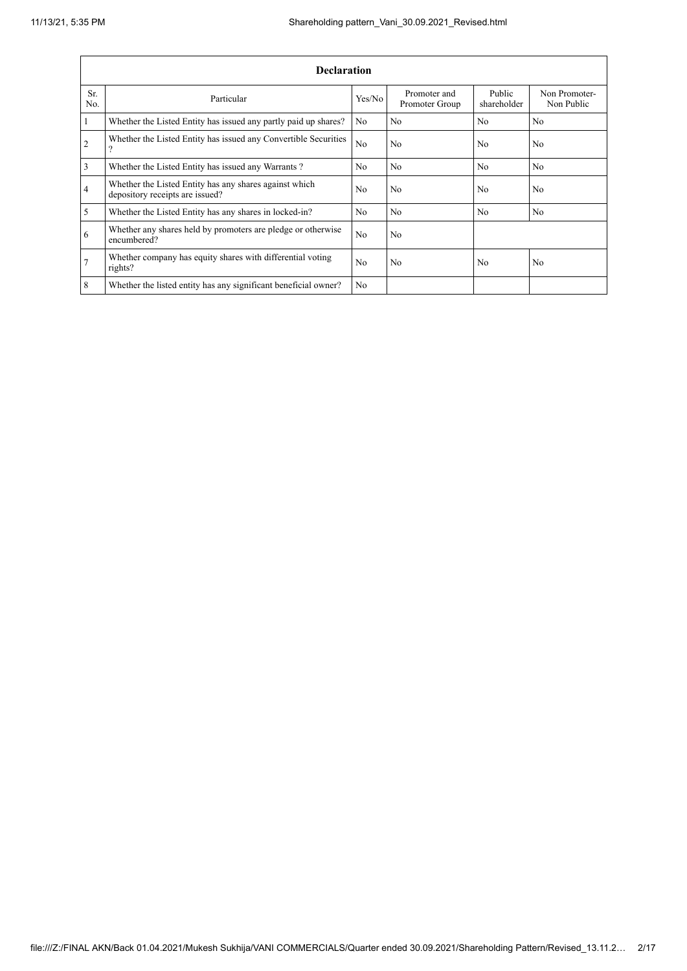|                | <b>Declaration</b>                                                                        |                |                                |                       |                             |  |  |  |  |  |  |  |
|----------------|-------------------------------------------------------------------------------------------|----------------|--------------------------------|-----------------------|-----------------------------|--|--|--|--|--|--|--|
| Sr.<br>No.     | Particular                                                                                | Yes/No         | Promoter and<br>Promoter Group | Public<br>shareholder | Non Promoter-<br>Non Public |  |  |  |  |  |  |  |
| 1              | Whether the Listed Entity has issued any partly paid up shares?                           | N <sub>o</sub> | N <sub>0</sub>                 | N <sub>0</sub>        | N <sub>0</sub>              |  |  |  |  |  |  |  |
| $\overline{2}$ | Whether the Listed Entity has issued any Convertible Securities<br>$\Omega$               | N <sub>o</sub> | No                             | No                    | N <sub>o</sub>              |  |  |  |  |  |  |  |
| 3              | Whether the Listed Entity has issued any Warrants?                                        | N <sub>o</sub> | No                             | No                    | No.                         |  |  |  |  |  |  |  |
| $\overline{4}$ | Whether the Listed Entity has any shares against which<br>depository receipts are issued? | N <sub>0</sub> | N <sub>o</sub>                 | No                    | N <sub>o</sub>              |  |  |  |  |  |  |  |
| 5              | Whether the Listed Entity has any shares in locked-in?                                    | N <sub>o</sub> | No                             | No                    | No                          |  |  |  |  |  |  |  |
| 6              | Whether any shares held by promoters are pledge or otherwise<br>encumbered?               | No             | N <sub>o</sub>                 |                       |                             |  |  |  |  |  |  |  |
| $\overline{7}$ | Whether company has equity shares with differential voting<br>rights?                     | No             | No                             | No                    | N <sub>o</sub>              |  |  |  |  |  |  |  |
| 8              | Whether the listed entity has any significant beneficial owner?                           | No             |                                |                       |                             |  |  |  |  |  |  |  |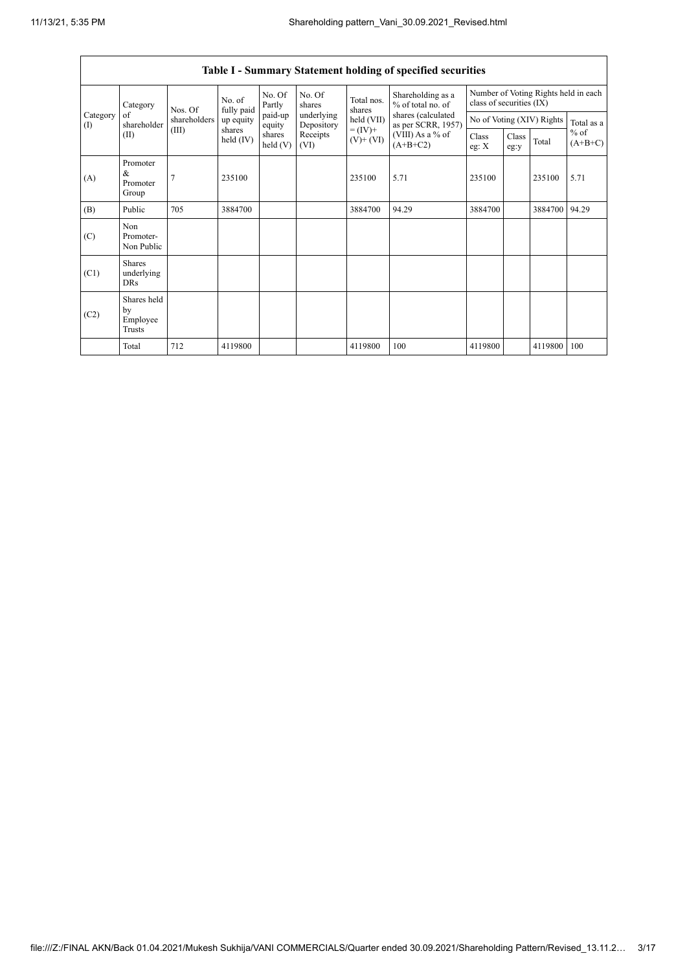$\mathsf{r}$ 

 $\overline{\phantom{a}}$ 

| Table I - Summary Statement holding of specified securities |                                           |              |                      |                      |                          |                              |                                          |                                                                  |               |                           |                     |
|-------------------------------------------------------------|-------------------------------------------|--------------|----------------------|----------------------|--------------------------|------------------------------|------------------------------------------|------------------------------------------------------------------|---------------|---------------------------|---------------------|
|                                                             | Category<br>of<br>shareholder<br>(II)     | Nos. Of      | No. of<br>fully paid | No. Of<br>Partly     | No. Of<br>shares         | Total nos.<br>shares         | Shareholding as a<br>% of total no. of   | Number of Voting Rights held in each<br>class of securities (IX) |               |                           |                     |
| Category<br>(1)                                             |                                           | shareholders | up equity            | paid-up<br>equity    | underlying<br>Depository | held (VII)                   | shares (calculated<br>as per SCRR, 1957) |                                                                  |               | No of Voting (XIV) Rights | Total as a          |
|                                                             |                                           | (III)        | shares<br>held (IV)  | shares<br>held $(V)$ | Receipts<br>(VI)         | $= (IV) +$<br>$(V)$ + $(VI)$ | (VIII) As a % of<br>$(A+B+C2)$           | Class<br>eg: X                                                   | Class<br>eg:y | Total                     | $%$ of<br>$(A+B+C)$ |
| (A)                                                         | Promoter<br>&<br>Promoter<br>Group        | 7            | 235100               |                      |                          | 235100                       | 5.71                                     | 235100                                                           |               | 235100                    | 5.71                |
| (B)                                                         | Public                                    | 705          | 3884700              |                      |                          | 3884700                      | 94.29                                    | 3884700                                                          |               | 3884700                   | 94.29               |
| (C)                                                         | <b>Non</b><br>Promoter-<br>Non Public     |              |                      |                      |                          |                              |                                          |                                                                  |               |                           |                     |
| (C1)                                                        | <b>Shares</b><br>underlying<br><b>DRs</b> |              |                      |                      |                          |                              |                                          |                                                                  |               |                           |                     |
| (C2)                                                        | Shares held<br>by<br>Employee<br>Trusts   |              |                      |                      |                          |                              |                                          |                                                                  |               |                           |                     |
|                                                             | Total                                     | 712          | 4119800              |                      |                          | 4119800                      | 100                                      | 4119800                                                          |               | 4119800                   | 100                 |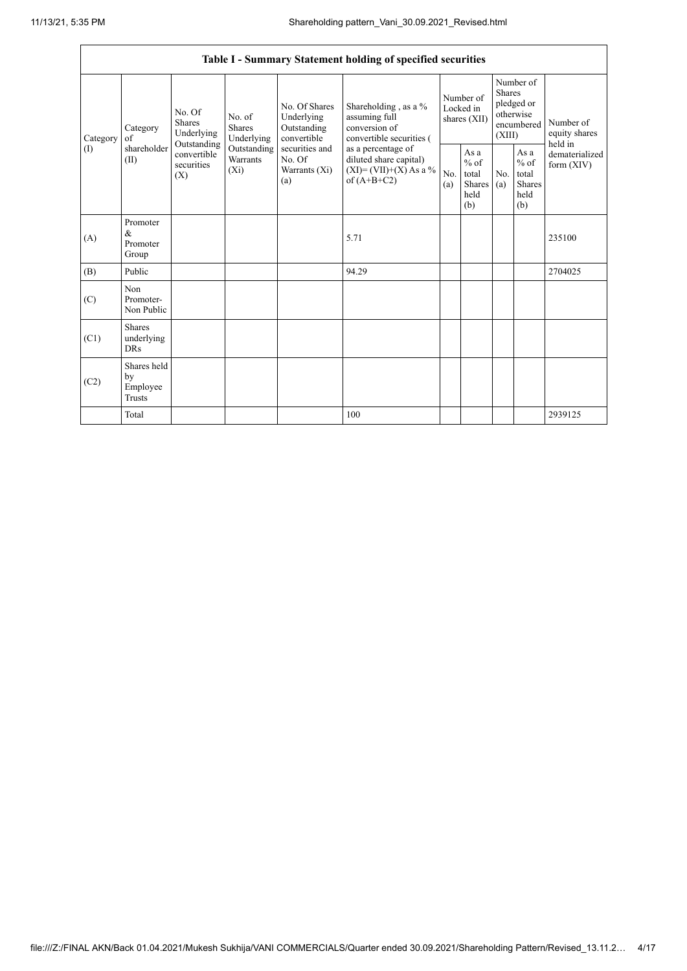| Table I - Summary Statement holding of specified securities |                                                |                                                                                   |                                       |                                                                                                                  |                                                                                                                                                                                  |                                        |                                                         |                                                                               |                                                         |                                       |  |
|-------------------------------------------------------------|------------------------------------------------|-----------------------------------------------------------------------------------|---------------------------------------|------------------------------------------------------------------------------------------------------------------|----------------------------------------------------------------------------------------------------------------------------------------------------------------------------------|----------------------------------------|---------------------------------------------------------|-------------------------------------------------------------------------------|---------------------------------------------------------|---------------------------------------|--|
| Category<br>$($ $\Gamma$                                    | Category<br>of<br>shareholder<br>(II)          | No. Of<br>Shares<br>Underlying<br>Outstanding<br>convertible<br>securities<br>(X) | No. of<br><b>Shares</b><br>Underlying | No. Of Shares<br>Underlying<br>Outstanding<br>convertible<br>securities and<br>No. Of<br>Warrants $(X_i)$<br>(a) | Shareholding, as a %<br>assuming full<br>conversion of<br>convertible securities (<br>as a percentage of<br>diluted share capital)<br>$(XI) = (VII)+(X) As a %$<br>of $(A+B+C2)$ | Number of<br>Locked in<br>shares (XII) |                                                         | Number of<br><b>Shares</b><br>pledged or<br>otherwise<br>encumbered<br>(XIII) |                                                         | Number of<br>equity shares<br>held in |  |
|                                                             |                                                |                                                                                   | Outstanding<br>Warrants<br>$(X_i)$    |                                                                                                                  |                                                                                                                                                                                  | No.<br>(a)                             | As a<br>$%$ of<br>total<br><b>Shares</b><br>held<br>(b) | N <sub>0</sub><br>(a)                                                         | As a<br>$%$ of<br>total<br><b>Shares</b><br>held<br>(b) | dematerialized<br>form $(XIV)$        |  |
| (A)                                                         | Promoter<br>$\&$<br>Promoter<br>Group          |                                                                                   |                                       |                                                                                                                  | 5.71                                                                                                                                                                             |                                        |                                                         |                                                                               |                                                         | 235100                                |  |
| (B)                                                         | Public                                         |                                                                                   |                                       |                                                                                                                  | 94.29                                                                                                                                                                            |                                        |                                                         |                                                                               |                                                         | 2704025                               |  |
| (C)                                                         | Non<br>Promoter-<br>Non Public                 |                                                                                   |                                       |                                                                                                                  |                                                                                                                                                                                  |                                        |                                                         |                                                                               |                                                         |                                       |  |
| (C1)                                                        | <b>Shares</b><br>underlying<br><b>DRs</b>      |                                                                                   |                                       |                                                                                                                  |                                                                                                                                                                                  |                                        |                                                         |                                                                               |                                                         |                                       |  |
| (C2)                                                        | Shares held<br>by<br>Employee<br><b>Trusts</b> |                                                                                   |                                       |                                                                                                                  |                                                                                                                                                                                  |                                        |                                                         |                                                                               |                                                         |                                       |  |
|                                                             | Total                                          |                                                                                   |                                       |                                                                                                                  | 100                                                                                                                                                                              |                                        |                                                         |                                                                               |                                                         | 2939125                               |  |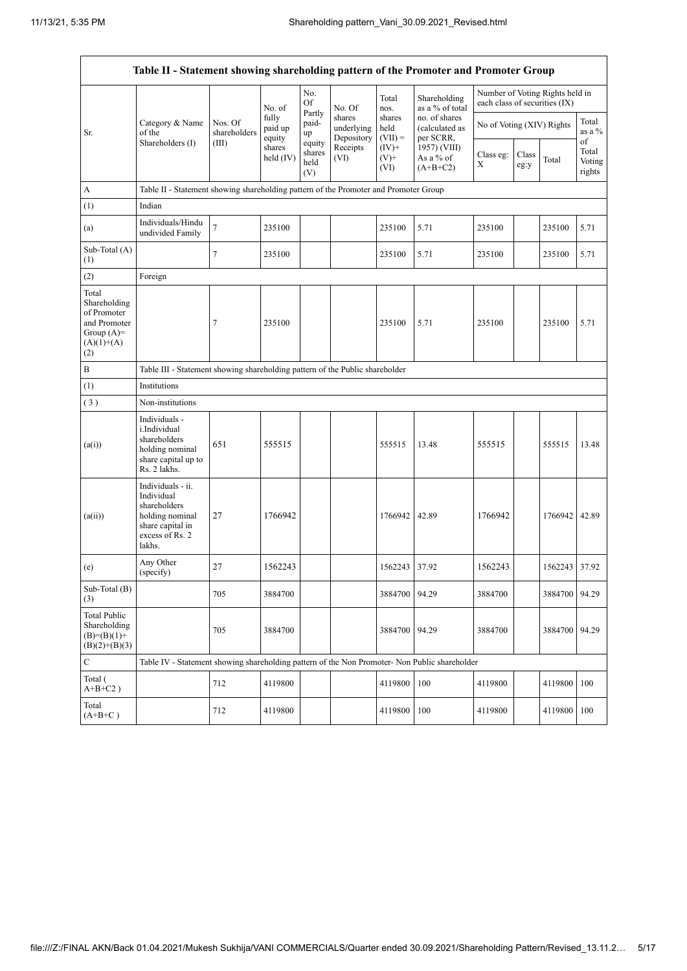$\mathbf{r}$ 

 $\overline{\phantom{0}}$ 

| Table II - Statement showing shareholding pattern of the Promoter and Promoter Group        |                                                                                                                     |                                                                              |                            |                                 |                                    |                             |                                              |                               |               |                                 |                                 |  |
|---------------------------------------------------------------------------------------------|---------------------------------------------------------------------------------------------------------------------|------------------------------------------------------------------------------|----------------------------|---------------------------------|------------------------------------|-----------------------------|----------------------------------------------|-------------------------------|---------------|---------------------------------|---------------------------------|--|
|                                                                                             |                                                                                                                     |                                                                              | No. of                     | No.<br>Of                       | No. Of                             | Total<br>nos.               | Shareholding<br>as a % of total              | each class of securities (IX) |               | Number of Voting Rights held in |                                 |  |
| Sr.                                                                                         | Category & Name<br>of the                                                                                           | Nos. Of<br>shareholders                                                      | fully<br>paid up<br>equity | Partly<br>paid-<br>up           | shares<br>underlying<br>Depository | shares<br>held<br>$(VII) =$ | no. of shares<br>(calculated as<br>per SCRR, | No of Voting (XIV) Rights     |               |                                 | Total<br>as a $\%$              |  |
|                                                                                             | Shareholders (I)                                                                                                    | (III)                                                                        | shares<br>held $(IV)$      | equity<br>shares<br>held<br>(V) | Receipts<br>(VI)                   | $(IV)+$<br>$(V)+$<br>(VI)   | 1957) (VIII)<br>As a % of<br>$(A+B+C2)$      | Class eg:<br>X                | Class<br>eg:y | Total                           | of<br>Total<br>Voting<br>rights |  |
| $\boldsymbol{\rm{A}}$                                                                       | Table II - Statement showing shareholding pattern of the Promoter and Promoter Group                                |                                                                              |                            |                                 |                                    |                             |                                              |                               |               |                                 |                                 |  |
| (1)                                                                                         | Indian                                                                                                              |                                                                              |                            |                                 |                                    |                             |                                              |                               |               |                                 |                                 |  |
| (a)                                                                                         | Individuals/Hindu<br>undivided Family                                                                               | $\tau$                                                                       | 235100                     |                                 |                                    | 235100                      | 5.71                                         | 235100                        |               | 235100                          | 5.71                            |  |
| Sub-Total (A)<br>(1)                                                                        |                                                                                                                     | $\tau$                                                                       | 235100                     |                                 |                                    | 235100                      | 5.71                                         | 235100                        |               | 235100                          | 5.71                            |  |
| (2)                                                                                         | Foreign                                                                                                             |                                                                              |                            |                                 |                                    |                             |                                              |                               |               |                                 |                                 |  |
| Total<br>Shareholding<br>of Promoter<br>and Promoter<br>Group $(A)=$<br>$(A)(1)+(A)$<br>(2) |                                                                                                                     | 7                                                                            | 235100                     |                                 |                                    | 235100                      | 5.71                                         | 235100                        |               | 235100                          | 5.71                            |  |
| $\, {\bf B}$                                                                                |                                                                                                                     | Table III - Statement showing shareholding pattern of the Public shareholder |                            |                                 |                                    |                             |                                              |                               |               |                                 |                                 |  |
| (1)                                                                                         | Institutions                                                                                                        |                                                                              |                            |                                 |                                    |                             |                                              |                               |               |                                 |                                 |  |
| (3)                                                                                         | Non-institutions                                                                                                    |                                                                              |                            |                                 |                                    |                             |                                              |                               |               |                                 |                                 |  |
| (a(i))                                                                                      | Individuals -<br>i.Individual<br>shareholders<br>holding nominal<br>share capital up to<br>Rs. 2 lakhs.             | 651                                                                          | 555515                     |                                 |                                    | 555515                      | 13.48                                        | 555515                        |               | 555515                          | 13.48                           |  |
| (a(ii))                                                                                     | Individuals - ii.<br>Individual<br>shareholders<br>holding nominal<br>share capital in<br>excess of Rs. 2<br>lakhs. | 27                                                                           | 1766942                    |                                 |                                    | 1766942                     | 42.89                                        | 1766942                       |               | 1766942 42.89                   |                                 |  |
| (e)                                                                                         | Any Other<br>(specify)                                                                                              | 27                                                                           | 1562243                    |                                 |                                    | 1562243                     | 37.92                                        | 1562243                       |               | 1562243 37.92                   |                                 |  |
| Sub-Total (B)<br>(3)                                                                        |                                                                                                                     | 705                                                                          | 3884700                    |                                 |                                    | 3884700                     | 94.29                                        | 3884700                       |               | 3884700                         | 94.29                           |  |
| <b>Total Public</b><br>Shareholding<br>$(B)=(B)(1)+$<br>$(B)(2)+(B)(3)$                     |                                                                                                                     | 705                                                                          | 3884700                    |                                 |                                    | 3884700                     | 94.29                                        | 3884700                       |               | 3884700                         | 94.29                           |  |
| $\mathbf C$                                                                                 | Table IV - Statement showing shareholding pattern of the Non Promoter- Non Public shareholder                       |                                                                              |                            |                                 |                                    |                             |                                              |                               |               |                                 |                                 |  |
| Total (<br>$A+B+C2$ )                                                                       |                                                                                                                     | 712                                                                          | 4119800                    |                                 |                                    | 4119800                     | 100                                          | 4119800                       |               | 4119800                         | 100                             |  |
| Total<br>$(A+B+C)$                                                                          |                                                                                                                     | 712                                                                          | 4119800                    |                                 |                                    | 4119800                     | 100                                          | 4119800                       |               | 4119800                         | 100                             |  |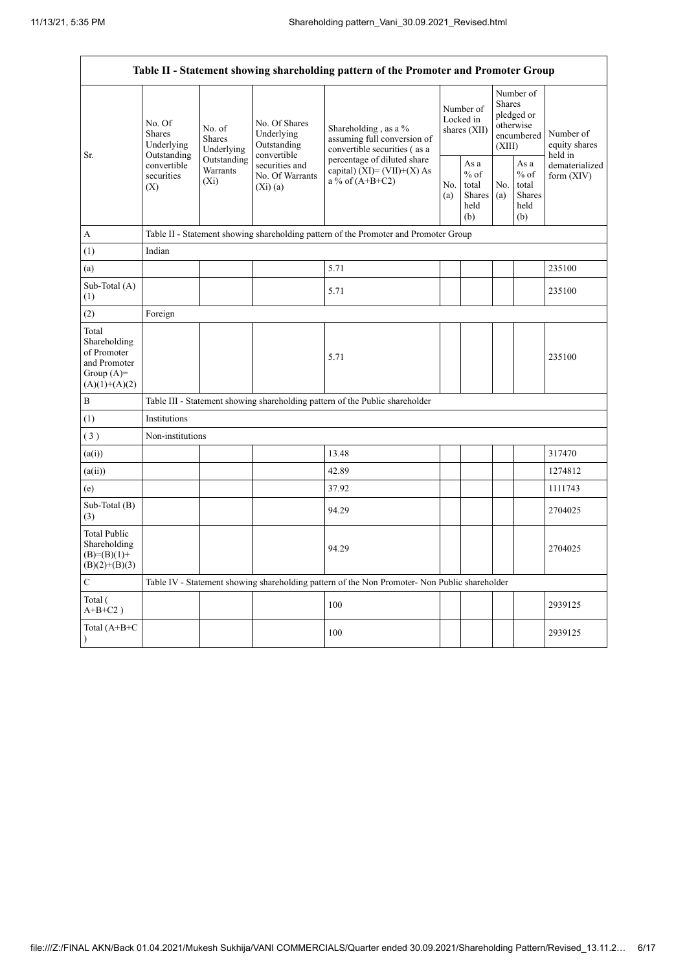$\overline{1}$ 

 $\overline{\phantom{0}}$ 

| Table II - Statement showing shareholding pattern of the Promoter and Promoter Group    |                                                 |                                                                                    |                                                           |                                                                                               |  |                                                         |                                                                               |                                                  |                                       |  |  |  |
|-----------------------------------------------------------------------------------------|-------------------------------------------------|------------------------------------------------------------------------------------|-----------------------------------------------------------|-----------------------------------------------------------------------------------------------|--|---------------------------------------------------------|-------------------------------------------------------------------------------|--------------------------------------------------|---------------------------------------|--|--|--|
|                                                                                         | No. Of<br>Shares<br>Underlying                  | No. of<br><b>Shares</b><br>Underlying                                              | No. Of Shares<br>Underlying<br>Outstanding<br>convertible | Shareholding, as a %<br>assuming full conversion of<br>convertible securities (as a           |  | Number of<br>Locked in<br>shares (XII)                  | Number of<br><b>Shares</b><br>pledged or<br>otherwise<br>encumbered<br>(XIII) |                                                  | Number of<br>equity shares<br>held in |  |  |  |
| Sr.                                                                                     | Outstanding<br>convertible<br>securities<br>(X) | Outstanding<br>securities and<br>Warrants<br>No. Of Warrants<br>$(X_i)$<br>(Xi)(a) |                                                           | percentage of diluted share<br>capital) $(XI) = (VII)+(X) As$<br>a % of $(A+B+C2)$            |  | As a<br>$%$ of<br>total<br><b>Shares</b><br>held<br>(b) | No.<br>(a)                                                                    | As a<br>$%$ of<br>total<br>Shares<br>held<br>(b) | dematerialized<br>form $(XIV)$        |  |  |  |
| А                                                                                       |                                                 |                                                                                    |                                                           | Table II - Statement showing shareholding pattern of the Promoter and Promoter Group          |  |                                                         |                                                                               |                                                  |                                       |  |  |  |
| (1)                                                                                     | Indian                                          |                                                                                    |                                                           |                                                                                               |  |                                                         |                                                                               |                                                  |                                       |  |  |  |
| (a)                                                                                     |                                                 |                                                                                    |                                                           | 5.71                                                                                          |  |                                                         |                                                                               |                                                  | 235100                                |  |  |  |
| Sub-Total (A)<br>(1)                                                                    |                                                 |                                                                                    |                                                           | 5.71                                                                                          |  |                                                         |                                                                               |                                                  | 235100                                |  |  |  |
| (2)                                                                                     | Foreign                                         |                                                                                    |                                                           |                                                                                               |  |                                                         |                                                                               |                                                  |                                       |  |  |  |
| Total<br>Shareholding<br>of Promoter<br>and Promoter<br>Group $(A)=$<br>$(A)(1)+(A)(2)$ |                                                 |                                                                                    |                                                           | 5.71                                                                                          |  |                                                         |                                                                               |                                                  | 235100                                |  |  |  |
| B                                                                                       |                                                 |                                                                                    |                                                           | Table III - Statement showing shareholding pattern of the Public shareholder                  |  |                                                         |                                                                               |                                                  |                                       |  |  |  |
| (1)                                                                                     | Institutions                                    |                                                                                    |                                                           |                                                                                               |  |                                                         |                                                                               |                                                  |                                       |  |  |  |
| (3)                                                                                     | Non-institutions                                |                                                                                    |                                                           |                                                                                               |  |                                                         |                                                                               |                                                  |                                       |  |  |  |
| (a(i))                                                                                  |                                                 |                                                                                    |                                                           | 13.48                                                                                         |  |                                                         |                                                                               |                                                  | 317470                                |  |  |  |
| (a(ii))                                                                                 |                                                 |                                                                                    |                                                           | 42.89                                                                                         |  |                                                         |                                                                               |                                                  | 1274812                               |  |  |  |
| (e)                                                                                     |                                                 |                                                                                    |                                                           | 37.92                                                                                         |  |                                                         |                                                                               |                                                  | 1111743                               |  |  |  |
| Sub-Total (B)<br>(3)                                                                    |                                                 |                                                                                    |                                                           | 94.29                                                                                         |  |                                                         |                                                                               |                                                  | 2704025                               |  |  |  |
| <b>Total Public</b><br>Shareholding<br>$(B)=(B)(1)+$<br>$(B)(2)+(B)(3)$                 |                                                 |                                                                                    |                                                           | 94.29                                                                                         |  |                                                         |                                                                               |                                                  | 2704025                               |  |  |  |
| $\overline{C}$                                                                          |                                                 |                                                                                    |                                                           | Table IV - Statement showing shareholding pattern of the Non Promoter- Non Public shareholder |  |                                                         |                                                                               |                                                  |                                       |  |  |  |
| Total (<br>$A+B+C2$ )                                                                   |                                                 |                                                                                    |                                                           | 100                                                                                           |  |                                                         |                                                                               |                                                  | 2939125                               |  |  |  |
| Total (A+B+C<br>$\mathcal{L}$                                                           |                                                 |                                                                                    |                                                           | 100                                                                                           |  |                                                         |                                                                               |                                                  | 2939125                               |  |  |  |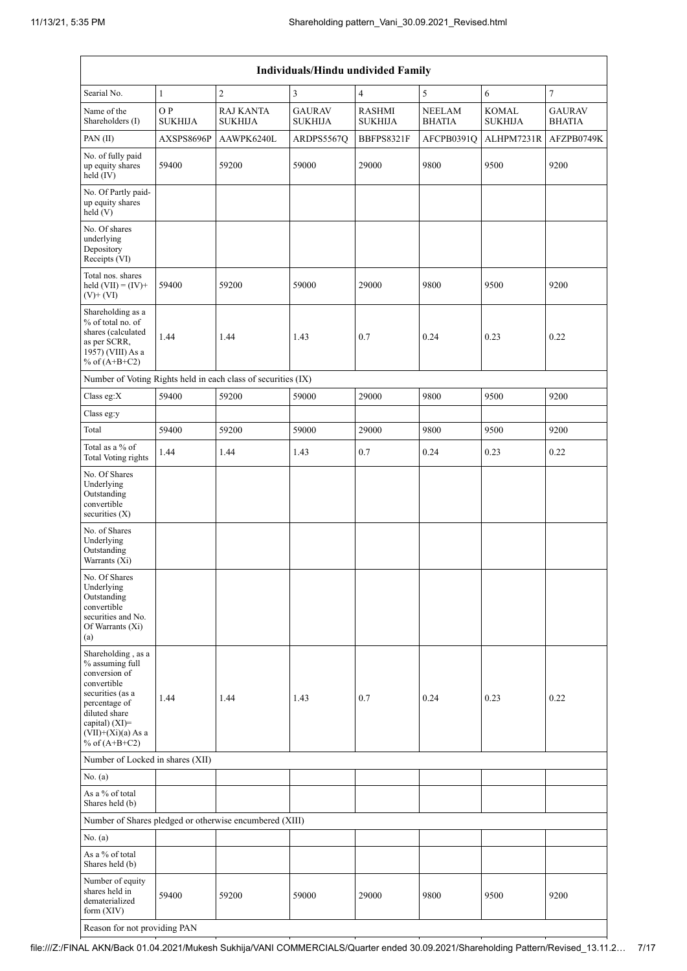| Individuals/Hindu undivided Family                                                                                                                                                       |                      |                                                               |                                 |                                 |                                |                                |                                |  |  |  |  |
|------------------------------------------------------------------------------------------------------------------------------------------------------------------------------------------|----------------------|---------------------------------------------------------------|---------------------------------|---------------------------------|--------------------------------|--------------------------------|--------------------------------|--|--|--|--|
| Searial No.                                                                                                                                                                              | $\mathbf{1}$         | $\sqrt{2}$                                                    | 3                               | $\overline{4}$                  | 5                              | 6                              | $\boldsymbol{7}$               |  |  |  |  |
| Name of the<br>Shareholders (I)                                                                                                                                                          | OP<br><b>SUKHIJA</b> | <b>RAJ KANTA</b><br><b>SUKHIJA</b>                            | <b>GAURAV</b><br><b>SUKHIJA</b> | <b>RASHMI</b><br><b>SUKHIJA</b> | <b>NEELAM</b><br><b>BHATIA</b> | <b>KOMAL</b><br><b>SUKHIJA</b> | <b>GAURAV</b><br><b>BHATIA</b> |  |  |  |  |
| PAN(II)                                                                                                                                                                                  | AXSPS8696P           | AAWPK6240L                                                    | ARDPS5567Q                      | BBFPS8321F                      | AFCPB0391Q                     | ALHPM7231R                     | AFZPB0749K                     |  |  |  |  |
| No. of fully paid<br>up equity shares<br>held (IV)                                                                                                                                       | 59400                | 59200                                                         | 59000                           | 29000                           | 9800                           | 9500                           | 9200                           |  |  |  |  |
| No. Of Partly paid-<br>up equity shares<br>held $(V)$                                                                                                                                    |                      |                                                               |                                 |                                 |                                |                                |                                |  |  |  |  |
| No. Of shares<br>underlying<br>Depository<br>Receipts (VI)                                                                                                                               |                      |                                                               |                                 |                                 |                                |                                |                                |  |  |  |  |
| Total nos. shares<br>held $(VII) = (IV) +$<br>$(V)$ + $(VI)$                                                                                                                             | 59400                | 59200                                                         | 59000                           | 29000                           | 9800                           | 9500                           | 9200                           |  |  |  |  |
| Shareholding as a<br>% of total no. of<br>shares (calculated<br>as per SCRR,<br>1957) (VIII) As a<br>% of $(A+B+C2)$                                                                     | 1.44                 | 1.44                                                          | 1.43                            | 0.7                             | 0.24                           | 0.23                           | 0.22                           |  |  |  |  |
|                                                                                                                                                                                          |                      | Number of Voting Rights held in each class of securities (IX) |                                 |                                 |                                |                                |                                |  |  |  |  |
| Class eg: $X$                                                                                                                                                                            | 59400                | 59200                                                         | 59000                           | 29000                           | 9800                           | 9500                           | 9200                           |  |  |  |  |
| Class eg:y                                                                                                                                                                               |                      |                                                               |                                 |                                 |                                |                                |                                |  |  |  |  |
| Total                                                                                                                                                                                    | 59400                | 59200                                                         | 59000                           | 29000                           | 9800                           | 9500                           | 9200                           |  |  |  |  |
| Total as a % of<br><b>Total Voting rights</b>                                                                                                                                            | 1.44                 | 1.44                                                          | 1.43                            | 0.7                             | 0.24                           | 0.23                           | 0.22                           |  |  |  |  |
| No. Of Shares<br>Underlying<br>Outstanding<br>convertible<br>securities $(X)$                                                                                                            |                      |                                                               |                                 |                                 |                                |                                |                                |  |  |  |  |
| No. of Shares<br>Underlying<br>Outstanding<br>Warrants (Xi)                                                                                                                              |                      |                                                               |                                 |                                 |                                |                                |                                |  |  |  |  |
| No. Of Shares<br>Underlying<br>Outstanding<br>convertible<br>securities and No.<br>Of Warrants (Xi)<br>(a)                                                                               |                      |                                                               |                                 |                                 |                                |                                |                                |  |  |  |  |
| Shareholding, as a<br>% assuming full<br>conversion of<br>convertible<br>securities (as a<br>percentage of<br>diluted share<br>capital) (XI)=<br>$(VII)+(Xi)(a)$ As a<br>% of $(A+B+C2)$ | 1.44                 | 1.44                                                          | 1.43                            | 0.7                             | 0.24                           | 0.23                           | 0.22                           |  |  |  |  |
| Number of Locked in shares (XII)                                                                                                                                                         |                      |                                                               |                                 |                                 |                                |                                |                                |  |  |  |  |
| No. (a)                                                                                                                                                                                  |                      |                                                               |                                 |                                 |                                |                                |                                |  |  |  |  |
| As a % of total<br>Shares held (b)                                                                                                                                                       |                      |                                                               |                                 |                                 |                                |                                |                                |  |  |  |  |
|                                                                                                                                                                                          |                      | Number of Shares pledged or otherwise encumbered (XIII)       |                                 |                                 |                                |                                |                                |  |  |  |  |
| No. (a)                                                                                                                                                                                  |                      |                                                               |                                 |                                 |                                |                                |                                |  |  |  |  |
| As a % of total<br>Shares held (b)                                                                                                                                                       |                      |                                                               |                                 |                                 |                                |                                |                                |  |  |  |  |
| Number of equity<br>shares held in<br>dematerialized<br>form $(XIV)$                                                                                                                     | 59400                | 59200                                                         | 59000                           | 29000                           | 9800                           | 9500                           | 9200                           |  |  |  |  |
| Reason for not providing PAN                                                                                                                                                             |                      |                                                               |                                 |                                 |                                |                                |                                |  |  |  |  |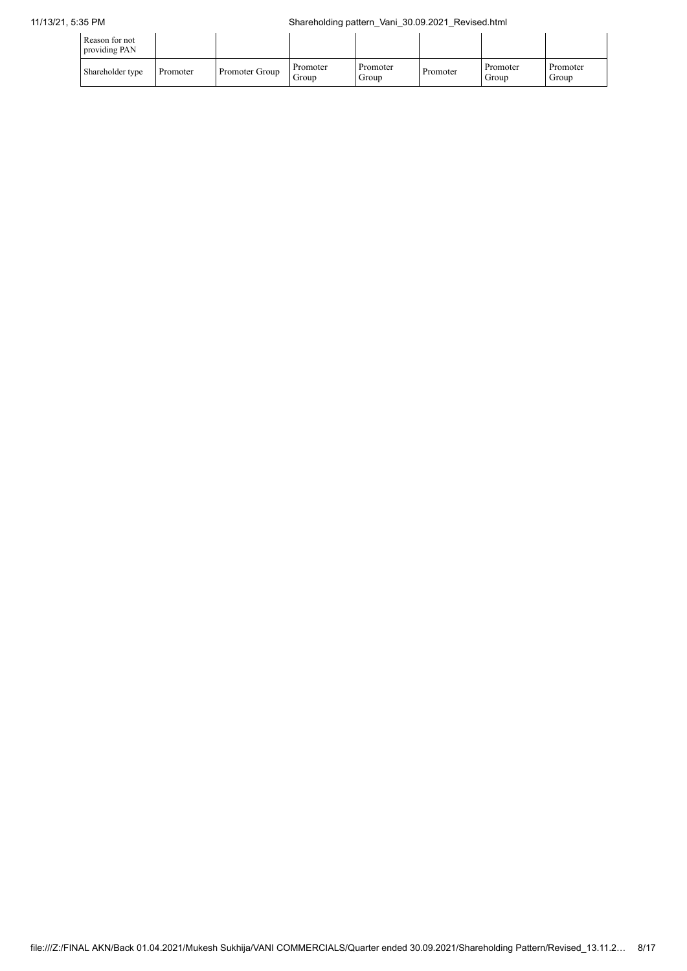| Reason for not<br>providing PAN |          |                |                   |                   |          |                   |                   |
|---------------------------------|----------|----------------|-------------------|-------------------|----------|-------------------|-------------------|
| Shareholder type                | Promoter | Promoter Group | Promoter<br>Group | Promoter<br>Group | Promoter | Promoter<br>Group | Promoter<br>Group |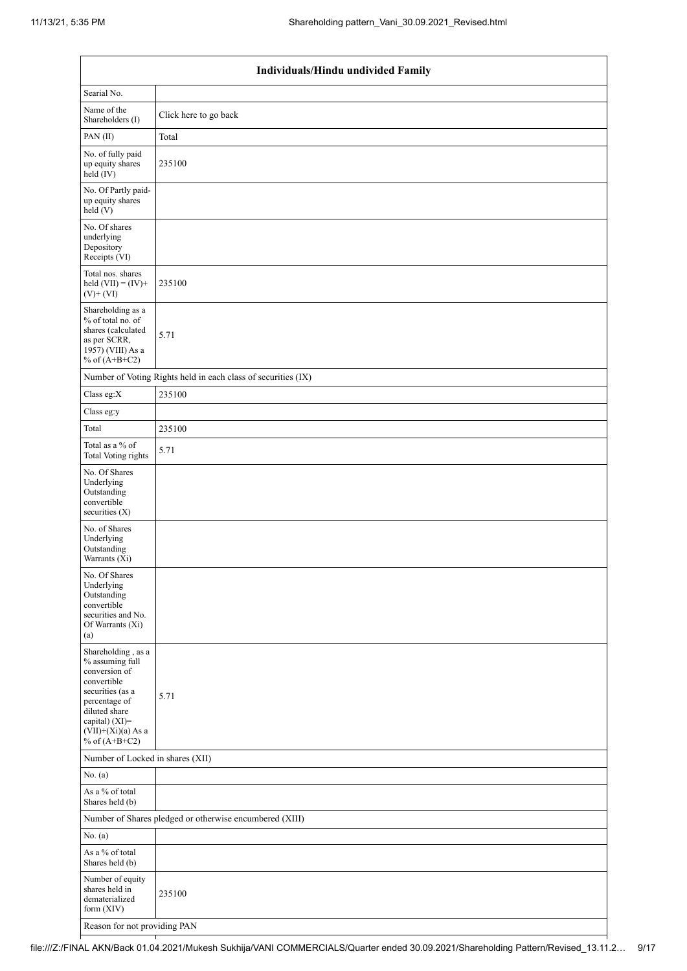|                                                                                                                                                                                          | Individuals/Hindu undivided Family                            |  |  |  |  |  |  |  |  |
|------------------------------------------------------------------------------------------------------------------------------------------------------------------------------------------|---------------------------------------------------------------|--|--|--|--|--|--|--|--|
| Searial No.                                                                                                                                                                              |                                                               |  |  |  |  |  |  |  |  |
| Name of the<br>Shareholders (I)                                                                                                                                                          | Click here to go back                                         |  |  |  |  |  |  |  |  |
| PAN(II)                                                                                                                                                                                  | Total                                                         |  |  |  |  |  |  |  |  |
| No. of fully paid<br>up equity shares<br>$held$ (IV)                                                                                                                                     | 235100                                                        |  |  |  |  |  |  |  |  |
| No. Of Partly paid-<br>up equity shares<br>held(V)                                                                                                                                       |                                                               |  |  |  |  |  |  |  |  |
| No. Of shares<br>underlying<br>Depository<br>Receipts (VI)                                                                                                                               |                                                               |  |  |  |  |  |  |  |  |
| Total nos. shares<br>held $(VII) = (IV) +$<br>$(V)$ + $(VI)$                                                                                                                             | 235100                                                        |  |  |  |  |  |  |  |  |
| Shareholding as a<br>% of total no. of<br>shares (calculated<br>as per SCRR,<br>1957) (VIII) As a<br>% of $(A+B+C2)$                                                                     | 5.71                                                          |  |  |  |  |  |  |  |  |
|                                                                                                                                                                                          | Number of Voting Rights held in each class of securities (IX) |  |  |  |  |  |  |  |  |
| Class eg: $X$                                                                                                                                                                            | 235100                                                        |  |  |  |  |  |  |  |  |
| Class eg:y                                                                                                                                                                               |                                                               |  |  |  |  |  |  |  |  |
| Total                                                                                                                                                                                    | 235100                                                        |  |  |  |  |  |  |  |  |
| Total as a $\%$ of<br>Total Voting rights                                                                                                                                                | 5.71                                                          |  |  |  |  |  |  |  |  |
| No. Of Shares<br>Underlying<br>Outstanding<br>convertible<br>securities (X)                                                                                                              |                                                               |  |  |  |  |  |  |  |  |
| No. of Shares<br>Underlying<br>Outstanding<br>Warrants (Xi)                                                                                                                              |                                                               |  |  |  |  |  |  |  |  |
| No. Of Shares<br>Underlying<br>Outstanding<br>convertible<br>securities and No.<br>Of Warrants (Xi)<br>(a)                                                                               |                                                               |  |  |  |  |  |  |  |  |
| Shareholding, as a<br>% assuming full<br>conversion of<br>convertible<br>securities (as a<br>percentage of<br>diluted share<br>capital) (XI)=<br>$(VII)+(Xi)(a)$ As a<br>% of $(A+B+C2)$ | 5.71                                                          |  |  |  |  |  |  |  |  |
| Number of Locked in shares (XII)                                                                                                                                                         |                                                               |  |  |  |  |  |  |  |  |
| No. (a)                                                                                                                                                                                  |                                                               |  |  |  |  |  |  |  |  |
| As a $\%$ of total<br>Shares held (b)                                                                                                                                                    |                                                               |  |  |  |  |  |  |  |  |
|                                                                                                                                                                                          | Number of Shares pledged or otherwise encumbered (XIII)       |  |  |  |  |  |  |  |  |
| No. (a)                                                                                                                                                                                  |                                                               |  |  |  |  |  |  |  |  |
| As a % of total<br>Shares held (b)                                                                                                                                                       |                                                               |  |  |  |  |  |  |  |  |
| Number of equity<br>shares held in<br>dematerialized<br>form $(XIV)$                                                                                                                     | 235100                                                        |  |  |  |  |  |  |  |  |
| Reason for not providing PAN                                                                                                                                                             |                                                               |  |  |  |  |  |  |  |  |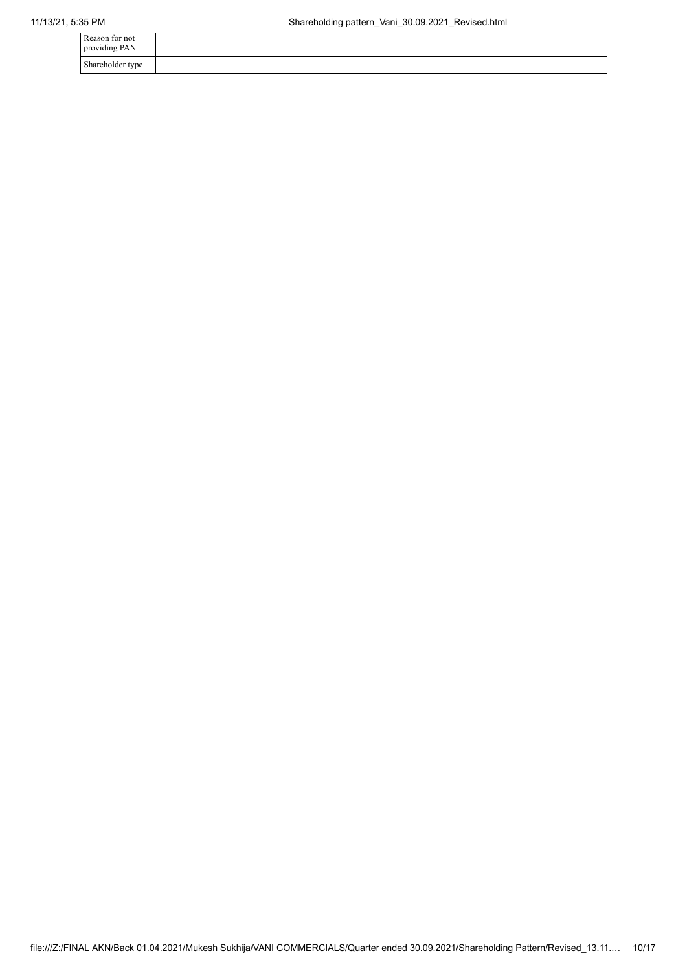| Reason for not<br>providing PAN |  |
|---------------------------------|--|
| Shareholder type                |  |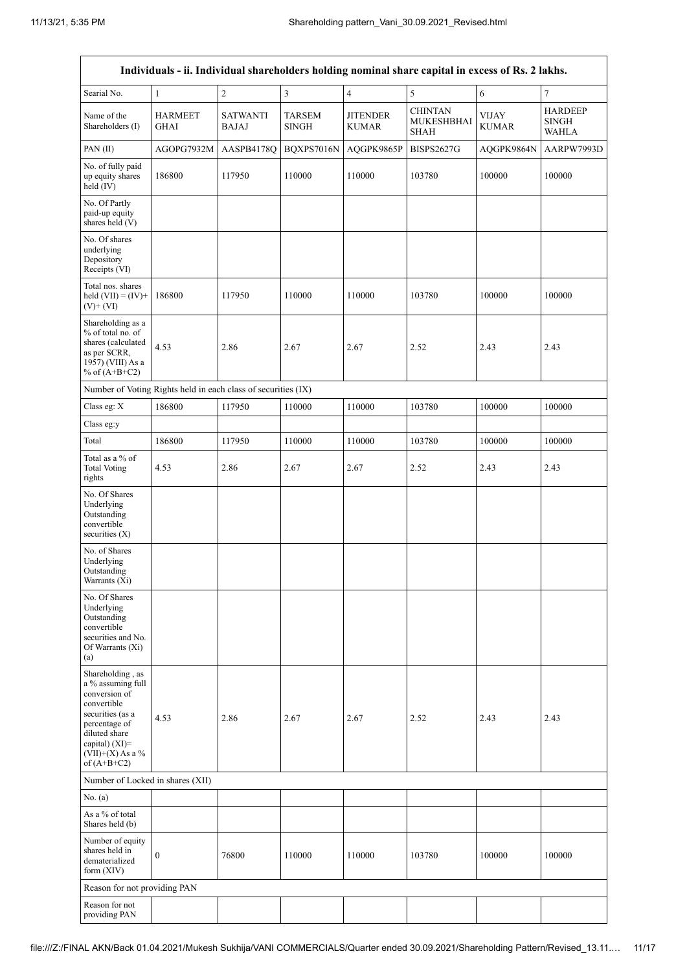|                                                                                                                                                                                      | Individuals - ii. Individual shareholders holding nominal share capital in excess of Rs. 2 lakhs. |                                 |                               |                                 |                                                    |                              |                                                |  |  |  |  |  |
|--------------------------------------------------------------------------------------------------------------------------------------------------------------------------------------|---------------------------------------------------------------------------------------------------|---------------------------------|-------------------------------|---------------------------------|----------------------------------------------------|------------------------------|------------------------------------------------|--|--|--|--|--|
| Searial No.                                                                                                                                                                          | $\mathbf{1}$                                                                                      | $\sqrt{2}$                      | 3                             | $\overline{4}$                  | 5                                                  | $\sqrt{6}$                   | $\tau$                                         |  |  |  |  |  |
| Name of the<br>Shareholders (I)                                                                                                                                                      | <b>HARMEET</b><br>GHAI                                                                            | <b>SATWANTI</b><br><b>BAJAJ</b> | <b>TARSEM</b><br><b>SINGH</b> | <b>JITENDER</b><br><b>KUMAR</b> | <b>CHINTAN</b><br><b>MUKESHBHAI</b><br><b>SHAH</b> | <b>VIJAY</b><br><b>KUMAR</b> | <b>HARDEEP</b><br><b>SINGH</b><br><b>WAHLA</b> |  |  |  |  |  |
| PAN(II)                                                                                                                                                                              | AGOPG7932M                                                                                        | AASPB4178Q                      | BQXPS7016N                    | AQGPK9865P                      | <b>BISPS2627G</b>                                  | AQGPK9864N                   | AARPW7993D                                     |  |  |  |  |  |
| No. of fully paid<br>up equity shares<br>held (IV)                                                                                                                                   | 186800                                                                                            | 117950                          | 110000                        | 110000                          | 103780                                             | 100000                       | 100000                                         |  |  |  |  |  |
| No. Of Partly<br>paid-up equity<br>shares held (V)                                                                                                                                   |                                                                                                   |                                 |                               |                                 |                                                    |                              |                                                |  |  |  |  |  |
| No. Of shares<br>underlying<br>Depository<br>Receipts (VI)                                                                                                                           |                                                                                                   |                                 |                               |                                 |                                                    |                              |                                                |  |  |  |  |  |
| Total nos. shares<br>held $(VII) = (IV) +$<br>$(V)$ + $(VI)$                                                                                                                         | 186800                                                                                            | 117950                          | 110000                        | 110000                          | 103780                                             | 100000                       | 100000                                         |  |  |  |  |  |
| Shareholding as a<br>% of total no. of<br>shares (calculated<br>as per SCRR,<br>1957) (VIII) As a<br>% of $(A+B+C2)$                                                                 | 4.53                                                                                              | 2.86                            | 2.67                          | 2.67                            | 2.52                                               | 2.43                         | 2.43                                           |  |  |  |  |  |
| Number of Voting Rights held in each class of securities (IX)                                                                                                                        |                                                                                                   |                                 |                               |                                 |                                                    |                              |                                                |  |  |  |  |  |
| Class eg: X                                                                                                                                                                          | 186800                                                                                            | 117950                          | 110000                        | 110000                          | 103780                                             | 100000                       | 100000                                         |  |  |  |  |  |
| Class eg:y                                                                                                                                                                           |                                                                                                   |                                 |                               |                                 |                                                    |                              |                                                |  |  |  |  |  |
| Total                                                                                                                                                                                | 186800                                                                                            | 117950                          | 110000                        | 110000                          | 103780                                             | 100000                       | 100000                                         |  |  |  |  |  |
| Total as a % of<br><b>Total Voting</b><br>rights                                                                                                                                     | 4.53                                                                                              | 2.86                            | 2.67                          | 2.67                            | 2.52                                               | 2.43                         | 2.43                                           |  |  |  |  |  |
| No. Of Shares<br>Underlying<br>Outstanding<br>convertible<br>securities $(X)$                                                                                                        |                                                                                                   |                                 |                               |                                 |                                                    |                              |                                                |  |  |  |  |  |
| No. of Shares<br>Underlying<br>Outstanding<br>Warrants (Xi)                                                                                                                          |                                                                                                   |                                 |                               |                                 |                                                    |                              |                                                |  |  |  |  |  |
| No. Of Shares<br>Underlying<br>Outstanding<br>convertible<br>securities and No.<br>Of Warrants (Xi)<br>(a)                                                                           |                                                                                                   |                                 |                               |                                 |                                                    |                              |                                                |  |  |  |  |  |
| Shareholding, as<br>a % assuming full<br>conversion of<br>convertible<br>securities (as a<br>percentage of<br>diluted share<br>capital) (XI)=<br>$(VII)+(X)$ As a %<br>of $(A+B+C2)$ | 4.53                                                                                              | 2.86                            | 2.67                          | 2.67                            | 2.52                                               | 2.43                         | 2.43                                           |  |  |  |  |  |
| Number of Locked in shares (XII)                                                                                                                                                     |                                                                                                   |                                 |                               |                                 |                                                    |                              |                                                |  |  |  |  |  |
| No. (a)                                                                                                                                                                              |                                                                                                   |                                 |                               |                                 |                                                    |                              |                                                |  |  |  |  |  |
| As a % of total<br>Shares held (b)                                                                                                                                                   |                                                                                                   |                                 |                               |                                 |                                                    |                              |                                                |  |  |  |  |  |
| Number of equity<br>shares held in<br>dematerialized<br>form $(XIV)$                                                                                                                 | 0                                                                                                 | 76800                           | 110000                        | 110000                          | 103780                                             | 100000                       | 100000                                         |  |  |  |  |  |
| Reason for not providing PAN                                                                                                                                                         |                                                                                                   |                                 |                               |                                 |                                                    |                              |                                                |  |  |  |  |  |
| Reason for not<br>providing PAN                                                                                                                                                      |                                                                                                   |                                 |                               |                                 |                                                    |                              |                                                |  |  |  |  |  |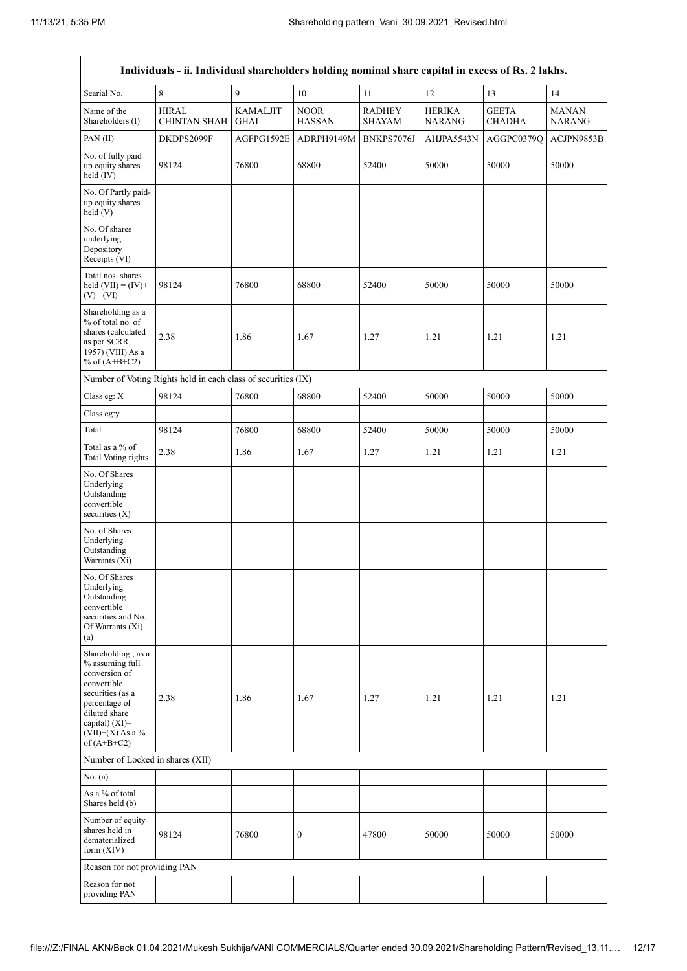|                                                                                                                                                                                      | Individuals - ii. Individual shareholders holding nominal share capital in excess of Rs. 2 lakhs. |                                |                              |                                |                                |                               |                               |  |  |  |  |
|--------------------------------------------------------------------------------------------------------------------------------------------------------------------------------------|---------------------------------------------------------------------------------------------------|--------------------------------|------------------------------|--------------------------------|--------------------------------|-------------------------------|-------------------------------|--|--|--|--|
| Searial No.                                                                                                                                                                          | 8                                                                                                 | 9                              | $10\,$                       | 11                             | 12                             | 13                            | 14                            |  |  |  |  |
| Name of the<br>Shareholders (I)                                                                                                                                                      | <b>HIRAL</b><br><b>CHINTAN SHAH</b>                                                               | <b>KAMALJIT</b><br><b>GHAI</b> | <b>NOOR</b><br><b>HASSAN</b> | <b>RADHEY</b><br><b>SHAYAM</b> | <b>HERIKA</b><br><b>NARANG</b> | <b>GEETA</b><br><b>CHADHA</b> | <b>MANAN</b><br><b>NARANG</b> |  |  |  |  |
| PAN(II)                                                                                                                                                                              | DKDPS2099F                                                                                        | AGFPG1592E                     | ADRPH9149M                   | BNKPS7076J                     | AHJPA5543N                     | AGGPC0379Q                    | ACJPN9853B                    |  |  |  |  |
| No. of fully paid<br>up equity shares<br>held $(IV)$                                                                                                                                 | 98124                                                                                             | 76800                          | 68800                        | 52400                          | 50000                          | 50000                         | 50000                         |  |  |  |  |
| No. Of Partly paid-<br>up equity shares<br>held(V)                                                                                                                                   |                                                                                                   |                                |                              |                                |                                |                               |                               |  |  |  |  |
| No. Of shares<br>underlying<br>Depository<br>Receipts (VI)                                                                                                                           |                                                                                                   |                                |                              |                                |                                |                               |                               |  |  |  |  |
| Total nos. shares<br>held $(VII) = (IV) +$<br>$(V) + (VI)$                                                                                                                           | 98124                                                                                             | 76800                          | 68800                        | 52400                          | 50000                          | 50000                         | 50000                         |  |  |  |  |
| Shareholding as a<br>% of total no. of<br>shares (calculated<br>as per SCRR,<br>1957) (VIII) As a<br>% of $(A+B+C2)$                                                                 | 2.38                                                                                              | 1.86                           | 1.67                         | 1.27                           | 1.21                           | 1.21                          | 1.21                          |  |  |  |  |
|                                                                                                                                                                                      | Number of Voting Rights held in each class of securities (IX)                                     |                                |                              |                                |                                |                               |                               |  |  |  |  |
| Class eg: X                                                                                                                                                                          | 98124                                                                                             | 76800                          | 68800                        | 52400                          | 50000                          | 50000                         | 50000                         |  |  |  |  |
| Class eg:y                                                                                                                                                                           |                                                                                                   |                                |                              |                                |                                |                               |                               |  |  |  |  |
| Total                                                                                                                                                                                | 98124                                                                                             | 76800                          | 68800                        | 52400                          | 50000                          | 50000                         | 50000                         |  |  |  |  |
| Total as a % of<br><b>Total Voting rights</b>                                                                                                                                        | 2.38                                                                                              | 1.86                           | 1.67                         | 1.27                           | 1.21                           | 1.21                          | 1.21                          |  |  |  |  |
| No. Of Shares<br>Underlying<br>Outstanding<br>convertible<br>securities $(X)$                                                                                                        |                                                                                                   |                                |                              |                                |                                |                               |                               |  |  |  |  |
| No. of Shares<br>Underlying<br>Outstanding<br>Warrants (Xi)                                                                                                                          |                                                                                                   |                                |                              |                                |                                |                               |                               |  |  |  |  |
| No. Of Shares<br>Underlying<br>Outstanding<br>convertible<br>securities and No.<br>Of Warrants (Xi)<br>(a)                                                                           |                                                                                                   |                                |                              |                                |                                |                               |                               |  |  |  |  |
| Shareholding, as a<br>% assuming full<br>conversion of<br>convertible<br>securities (as a<br>percentage of<br>diluted share<br>capital) (XI)=<br>$(VII)+(X)$ As a %<br>of $(A+B+C2)$ | 2.38                                                                                              | 1.86                           | 1.67                         | 1.27                           | 1.21                           | 1.21                          | 1.21                          |  |  |  |  |
| Number of Locked in shares (XII)                                                                                                                                                     |                                                                                                   |                                |                              |                                |                                |                               |                               |  |  |  |  |
| No. (a)                                                                                                                                                                              |                                                                                                   |                                |                              |                                |                                |                               |                               |  |  |  |  |
| As a % of total<br>Shares held (b)                                                                                                                                                   |                                                                                                   |                                |                              |                                |                                |                               |                               |  |  |  |  |
| Number of equity<br>shares held in<br>dematerialized<br>form $(XIV)$                                                                                                                 | 98124                                                                                             | 76800                          | $\boldsymbol{0}$             | 47800                          | 50000                          | 50000                         | 50000                         |  |  |  |  |
| Reason for not providing PAN                                                                                                                                                         |                                                                                                   |                                |                              |                                |                                |                               |                               |  |  |  |  |
| Reason for not<br>providing PAN                                                                                                                                                      |                                                                                                   |                                |                              |                                |                                |                               |                               |  |  |  |  |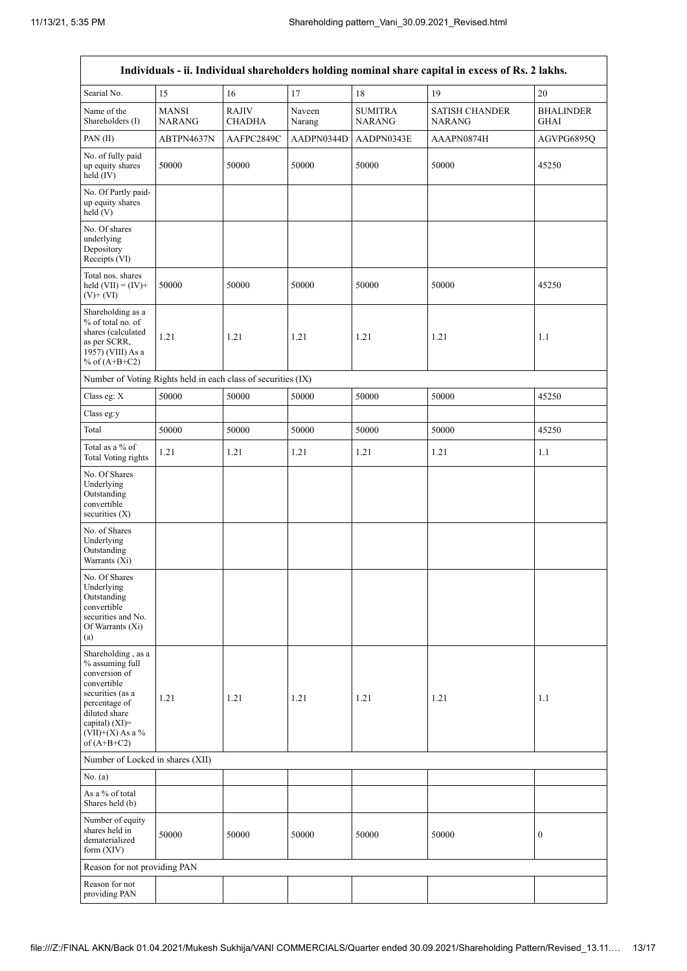| Individuals - ii. Individual shareholders holding nominal share capital in excess of Rs. 2 lakhs.                                                                                    |                               |                               |                  |                                 |                                        |                                 |
|--------------------------------------------------------------------------------------------------------------------------------------------------------------------------------------|-------------------------------|-------------------------------|------------------|---------------------------------|----------------------------------------|---------------------------------|
| Searial No.                                                                                                                                                                          | 15                            | 16                            | 17               | 18                              | 19                                     | 20                              |
| Name of the<br>Shareholders (I)                                                                                                                                                      | <b>MANSI</b><br><b>NARANG</b> | <b>RAJIV</b><br><b>CHADHA</b> | Naveen<br>Narang | <b>SUMITRA</b><br><b>NARANG</b> | <b>SATISH CHANDER</b><br><b>NARANG</b> | <b>BHALINDER</b><br><b>GHAI</b> |
| PAN(II)                                                                                                                                                                              | ABTPN4637N                    | AAFPC2849C                    | AADPN0344D       | AADPN0343E                      | AAAPN0874H                             | AGVPG6895Q                      |
| No. of fully paid<br>up equity shares<br>held $(IV)$                                                                                                                                 | 50000                         | 50000                         | 50000            | 50000                           | 50000                                  | 45250                           |
| No. Of Partly paid-<br>up equity shares<br>held (V)                                                                                                                                  |                               |                               |                  |                                 |                                        |                                 |
| No. Of shares<br>underlying<br>Depository<br>Receipts (VI)                                                                                                                           |                               |                               |                  |                                 |                                        |                                 |
| Total nos. shares<br>held $(VII) = (IV) +$<br>$(V)$ + $(VI)$                                                                                                                         | 50000                         | 50000                         | 50000            | 50000                           | 50000                                  | 45250                           |
| Shareholding as a<br>% of total no. of<br>shares (calculated<br>as per SCRR,<br>1957) (VIII) As a<br>% of $(A+B+C2)$                                                                 | 1.21                          | 1.21                          | 1.21             | 1.21                            | 1.21                                   | 1.1                             |
| Number of Voting Rights held in each class of securities (IX)                                                                                                                        |                               |                               |                  |                                 |                                        |                                 |
| Class eg: X                                                                                                                                                                          | 50000                         | 50000                         | 50000            | 50000                           | 50000                                  | 45250                           |
| Class eg:y                                                                                                                                                                           |                               |                               |                  |                                 |                                        |                                 |
| Total                                                                                                                                                                                | 50000                         | 50000                         | 50000            | 50000                           | 50000                                  | 45250                           |
| Total as a % of<br>Total Voting rights                                                                                                                                               | 1.21                          | 1.21                          | 1.21             | 1.21                            | 1.21                                   | 1.1                             |
| No. Of Shares<br>Underlying<br>Outstanding<br>convertible<br>securities $(X)$                                                                                                        |                               |                               |                  |                                 |                                        |                                 |
| No. of Shares<br>Underlying<br>Outstanding<br>Warrants (Xi)                                                                                                                          |                               |                               |                  |                                 |                                        |                                 |
| No. Of Shares<br>Underlying<br>Outstanding<br>convertible<br>securities and No.<br>Of Warrants (Xi)<br>(a)                                                                           |                               |                               |                  |                                 |                                        |                                 |
| Shareholding, as a<br>% assuming full<br>conversion of<br>convertible<br>securities (as a<br>percentage of<br>diluted share<br>capital) (XI)=<br>$(VII)+(X)$ As a %<br>of $(A+B+C2)$ | 1.21                          | 1.21                          | 1.21             | 1.21                            | 1.21                                   | 1.1                             |
| Number of Locked in shares (XII)                                                                                                                                                     |                               |                               |                  |                                 |                                        |                                 |
| No. (a)                                                                                                                                                                              |                               |                               |                  |                                 |                                        |                                 |
| As a % of total<br>Shares held (b)                                                                                                                                                   |                               |                               |                  |                                 |                                        |                                 |
| Number of equity<br>shares held in<br>dematerialized<br>form $(XIV)$                                                                                                                 | 50000                         | 50000                         | 50000            | 50000                           | 50000                                  | $\boldsymbol{0}$                |
| Reason for not providing PAN                                                                                                                                                         |                               |                               |                  |                                 |                                        |                                 |
| Reason for not<br>providing PAN                                                                                                                                                      |                               |                               |                  |                                 |                                        |                                 |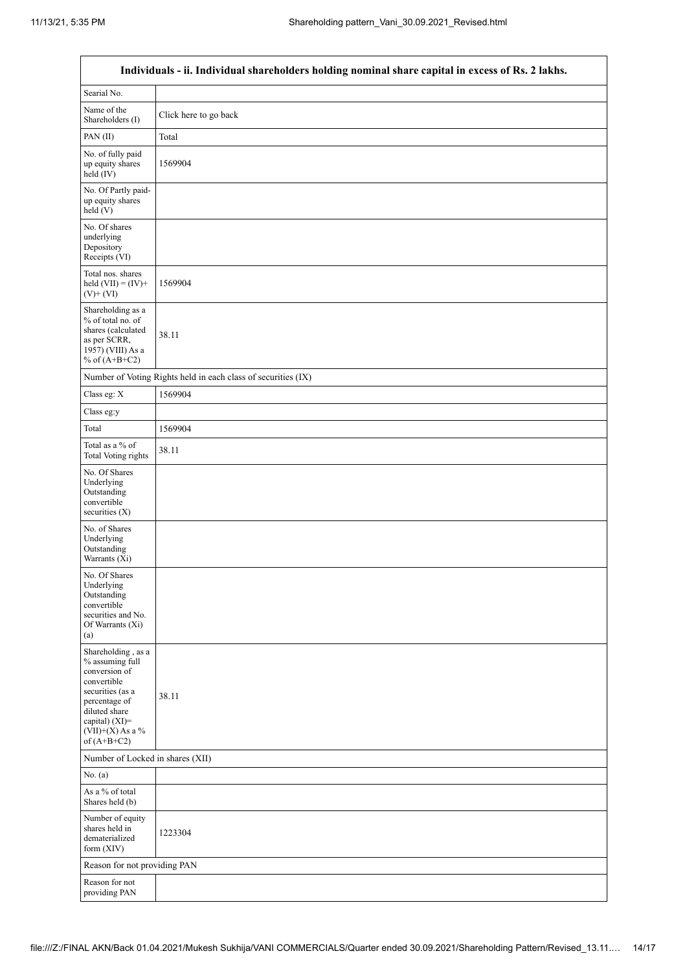|                                                                                                                                                                                      | Individuals - ii. Individual shareholders holding nominal share capital in excess of Rs. 2 lakhs. |
|--------------------------------------------------------------------------------------------------------------------------------------------------------------------------------------|---------------------------------------------------------------------------------------------------|
| Searial No.                                                                                                                                                                          |                                                                                                   |
| Name of the<br>Shareholders (I)                                                                                                                                                      | Click here to go back                                                                             |
| PAN (II)                                                                                                                                                                             | Total                                                                                             |
| No. of fully paid<br>up equity shares<br>held (IV)                                                                                                                                   | 1569904                                                                                           |
| No. Of Partly paid-<br>up equity shares<br>held (V)                                                                                                                                  |                                                                                                   |
| No. Of shares<br>underlying<br>Depository<br>Receipts (VI)                                                                                                                           |                                                                                                   |
| Total nos. shares<br>held $(VII) = (IV) +$<br>$(V)+(VI)$                                                                                                                             | 1569904                                                                                           |
| Shareholding as a<br>% of total no. of<br>shares (calculated<br>as per SCRR,<br>1957) (VIII) As a<br>% of $(A+B+C2)$                                                                 | 38.11                                                                                             |
|                                                                                                                                                                                      | Number of Voting Rights held in each class of securities (IX)                                     |
| Class eg: X                                                                                                                                                                          | 1569904                                                                                           |
| Class eg:y                                                                                                                                                                           |                                                                                                   |
| Total                                                                                                                                                                                | 1569904                                                                                           |
| Total as a % of<br><b>Total Voting rights</b>                                                                                                                                        | 38.11                                                                                             |
| No. Of Shares<br>Underlying<br>Outstanding<br>convertible<br>securities $(X)$                                                                                                        |                                                                                                   |
| No. of Shares<br>Underlying<br>Outstanding<br>Warrants (Xi)                                                                                                                          |                                                                                                   |
| No. Of Shares<br>Underlying<br>Outstanding<br>convertible<br>securities and No.<br>Of Warrants (Xi)<br>(a)                                                                           |                                                                                                   |
| Shareholding, as a<br>% assuming full<br>conversion of<br>convertible<br>securities (as a<br>percentage of<br>diluted share<br>capital) (XI)=<br>$(VII)+(X)$ As a %<br>of $(A+B+C2)$ | 38.11                                                                                             |
| Number of Locked in shares (XII)                                                                                                                                                     |                                                                                                   |
| No. (a)                                                                                                                                                                              |                                                                                                   |
| As a % of total<br>Shares held (b)                                                                                                                                                   |                                                                                                   |
| Number of equity<br>shares held in<br>dematerialized<br>form $(XIV)$                                                                                                                 | 1223304                                                                                           |
| Reason for not providing PAN                                                                                                                                                         |                                                                                                   |
| Reason for not<br>providing PAN                                                                                                                                                      |                                                                                                   |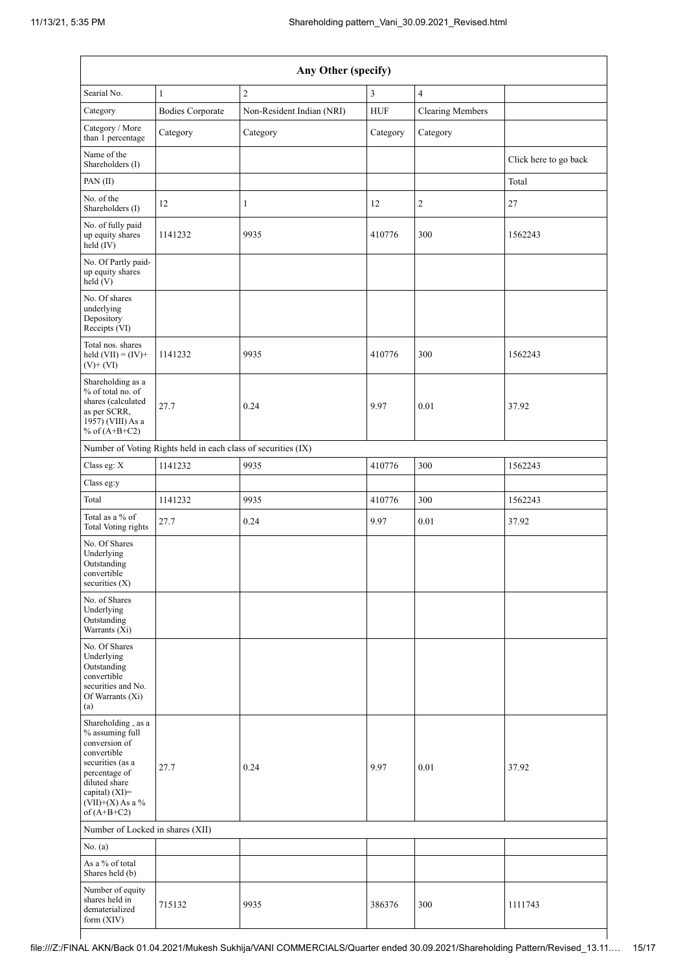| Any Other (specify)                                                                                                                                                                  |                                                               |                           |            |                         |                       |
|--------------------------------------------------------------------------------------------------------------------------------------------------------------------------------------|---------------------------------------------------------------|---------------------------|------------|-------------------------|-----------------------|
| Searial No.                                                                                                                                                                          | $\mathbf{1}$                                                  | $\overline{c}$            | 3          | $\overline{4}$          |                       |
| Category                                                                                                                                                                             | <b>Bodies Corporate</b>                                       | Non-Resident Indian (NRI) | <b>HUF</b> | <b>Clearing Members</b> |                       |
| Category / More<br>than 1 percentage                                                                                                                                                 | Category                                                      | Category                  | Category   | Category                |                       |
| Name of the<br>Shareholders (I)                                                                                                                                                      |                                                               |                           |            |                         | Click here to go back |
| PAN(II)                                                                                                                                                                              |                                                               |                           |            |                         | Total                 |
| No. of the<br>Shareholders (I)                                                                                                                                                       | 12                                                            | $\mathbf{1}$              | 12         | 2                       | 27                    |
| No. of fully paid<br>up equity shares<br>held $(IV)$                                                                                                                                 | 1141232                                                       | 9935                      | 410776     | 300                     | 1562243               |
| No. Of Partly paid-<br>up equity shares<br>held (V)                                                                                                                                  |                                                               |                           |            |                         |                       |
| No. Of shares<br>underlying<br>Depository<br>Receipts (VI)                                                                                                                           |                                                               |                           |            |                         |                       |
| Total nos. shares<br>held $(VII) = (IV) +$<br>$(V)+(VI)$                                                                                                                             | 1141232                                                       | 9935                      | 410776     | 300                     | 1562243               |
| Shareholding as a<br>% of total no. of<br>shares (calculated<br>as per SCRR,<br>1957) (VIII) As a<br>% of $(A+B+C2)$                                                                 | 27.7                                                          | 0.24                      | 9.97       | 0.01                    | 37.92                 |
|                                                                                                                                                                                      | Number of Voting Rights held in each class of securities (IX) |                           |            |                         |                       |
| Class eg: X                                                                                                                                                                          | 1141232                                                       | 9935                      | 410776     | 300                     | 1562243               |
| Class eg:y                                                                                                                                                                           |                                                               |                           |            |                         |                       |
| Total                                                                                                                                                                                | 1141232                                                       | 9935                      | 410776     | 300                     | 1562243               |
| Total as a % of<br>Total Voting rights                                                                                                                                               | 27.7                                                          | 0.24                      | 9.97       | 0.01                    | 37.92                 |
| No. Of Shares<br>Underlying<br>Outstanding<br>convertible<br>securities $(X)$                                                                                                        |                                                               |                           |            |                         |                       |
| No. of Shares<br>Underlying<br>Outstanding<br>Warrants (Xi)                                                                                                                          |                                                               |                           |            |                         |                       |
| No. Of Shares<br>Underlying<br>Outstanding<br>convertible<br>securities and No.<br>Of Warrants (Xi)<br>(a)                                                                           |                                                               |                           |            |                         |                       |
| Shareholding, as a<br>% assuming full<br>conversion of<br>convertible<br>securities (as a<br>percentage of<br>diluted share<br>capital) (XI)=<br>$(VII)+(X)$ As a %<br>of $(A+B+C2)$ | 27.7                                                          | 0.24                      | 9.97       | 0.01                    | 37.92                 |
| Number of Locked in shares (XII)                                                                                                                                                     |                                                               |                           |            |                         |                       |
| No. (a)                                                                                                                                                                              |                                                               |                           |            |                         |                       |
| As a % of total<br>Shares held (b)                                                                                                                                                   |                                                               |                           |            |                         |                       |
| Number of equity<br>shares held in<br>dematerialized<br>form (XIV)                                                                                                                   | 715132                                                        | 9935                      | 386376     | 300                     | 1111743               |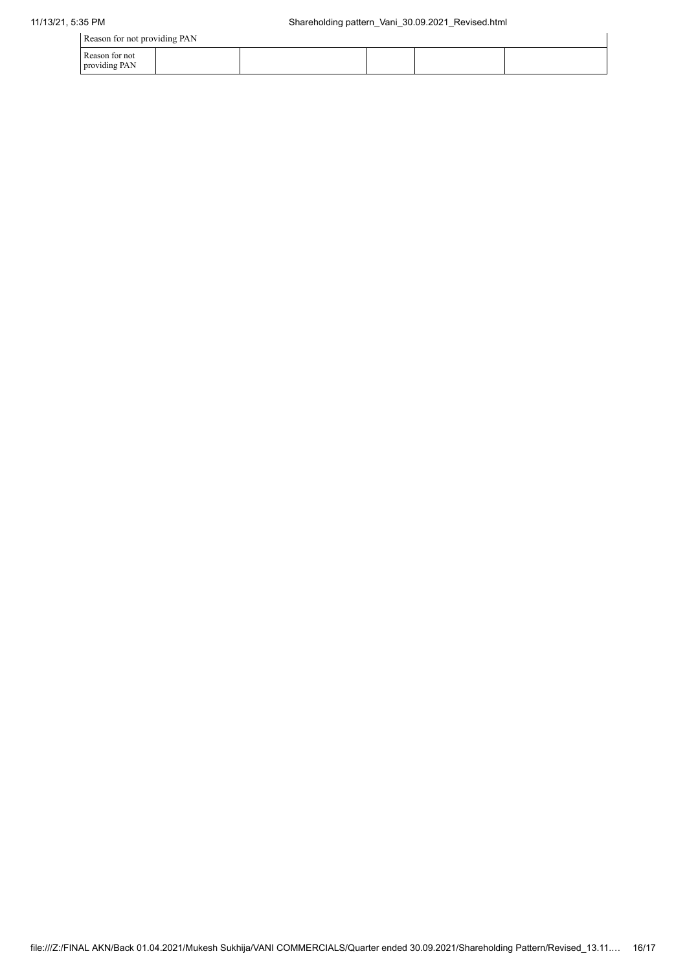| Reason for not providing PAN    |  |  |  |  |  |
|---------------------------------|--|--|--|--|--|
| Reason for not<br>providing PAN |  |  |  |  |  |